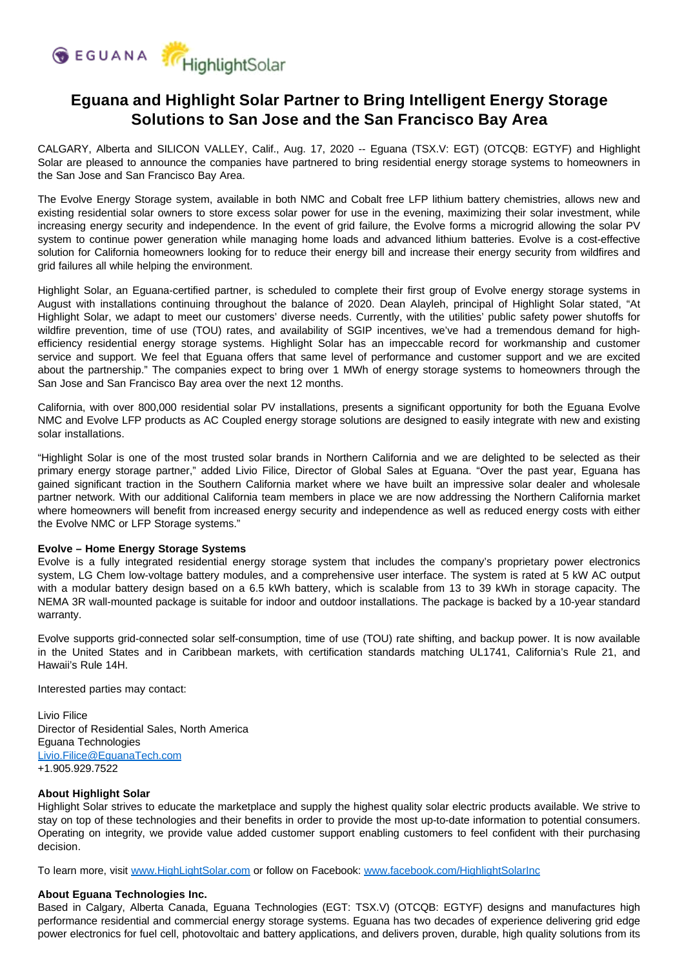

# **Eguana and Highlight Solar Partner to Bring Intelligent Energy Storage Solutions to San Jose and the San Francisco Bay Area**

CALGARY, Alberta and SILICON VALLEY, Calif., Aug. 17, 2020 -- Eguana (TSX.V: EGT) (OTCQB: EGTYF) and Highlight Solar are pleased to announce the companies have partnered to bring residential energy storage systems to homeowners in the San Jose and San Francisco Bay Area.

The Evolve Energy Storage system, available in both NMC and Cobalt free LFP lithium battery chemistries, allows new and existing residential solar owners to store excess solar power for use in the evening, maximizing their solar investment, while increasing energy security and independence. In the event of grid failure, the Evolve forms a microgrid allowing the solar PV system to continue power generation while managing home loads and advanced lithium batteries. Evolve is a cost-effective solution for California homeowners looking for to reduce their energy bill and increase their energy security from wildfires and grid failures all while helping the environment.

Highlight Solar, an Eguana-certified partner, is scheduled to complete their first group of Evolve energy storage systems in August with installations continuing throughout the balance of 2020. Dean Alayleh, principal of Highlight Solar stated, "At Highlight Solar, we adapt to meet our customers' diverse needs. Currently, with the utilities' public safety power shutoffs for wildfire prevention, time of use (TOU) rates, and availability of SGIP incentives, we've had a tremendous demand for highefficiency residential energy storage systems. Highlight Solar has an impeccable record for workmanship and customer service and support. We feel that Eguana offers that same level of performance and customer support and we are excited about the partnership." The companies expect to bring over 1 MWh of energy storage systems to homeowners through the San Jose and San Francisco Bay area over the next 12 months.

California, with over 800,000 residential solar PV installations, presents a significant opportunity for both the Eguana Evolve NMC and Evolve LFP products as AC Coupled energy storage solutions are designed to easily integrate with new and existing solar installations.

"Highlight Solar is one of the most trusted solar brands in Northern California and we are delighted to be selected as their primary energy storage partner," added Livio Filice, Director of Global Sales at Eguana. "Over the past year, Eguana has gained significant traction in the Southern California market where we have built an impressive solar dealer and wholesale partner network. With our additional California team members in place we are now addressing the Northern California market where homeowners will benefit from increased energy security and independence as well as reduced energy costs with either the Evolve NMC or LFP Storage systems."

### **Evolve – Home Energy Storage Systems**

Evolve is a fully integrated residential energy storage system that includes the company's proprietary power electronics system, LG Chem low-voltage battery modules, and a comprehensive user interface. The system is rated at 5 kW AC output with a modular battery design based on a 6.5 kWh battery, which is scalable from 13 to 39 kWh in storage capacity. The NEMA 3R wall-mounted package is suitable for indoor and outdoor installations. The package is backed by a 10-year standard warranty.

Evolve supports grid-connected solar self-consumption, time of use (TOU) rate shifting, and backup power. It is now available in the United States and in Caribbean markets, with certification standards matching UL1741, California's Rule 21, and Hawaii's Rule 14H.

Interested parties may contact:

Livio Filice Director of Residential Sales, North America Eguana Technologies [Livio.Filice@EguanaTech.com](mailto:Livio.Filice@EguanaTech.com) +1.905.929.7522

#### **About Highlight Solar**

Highlight Solar strives to educate the marketplace and supply the highest quality solar electric products available. We strive to stay on top of these technologies and their benefits in order to provide the most up-to-date information to potential consumers. Operating on integrity, we provide value added customer support enabling customers to feel confident with their purchasing decision.

To learn more, visit [www.HighLightSolar.com](http://www.highlightsolar.com/) or follow on Facebook: [www.facebook.com/HighlightSolarInc](http://www.facebook.com/HighlightSolarInc)

#### **About Eguana Technologies Inc.**

Based in Calgary, Alberta Canada, Eguana Technologies (EGT: TSX.V) (OTCQB: EGTYF) designs and manufactures high performance residential and commercial energy storage systems. Eguana has two decades of experience delivering grid edge power electronics for fuel cell, photovoltaic and battery applications, and delivers proven, durable, high quality solutions from its